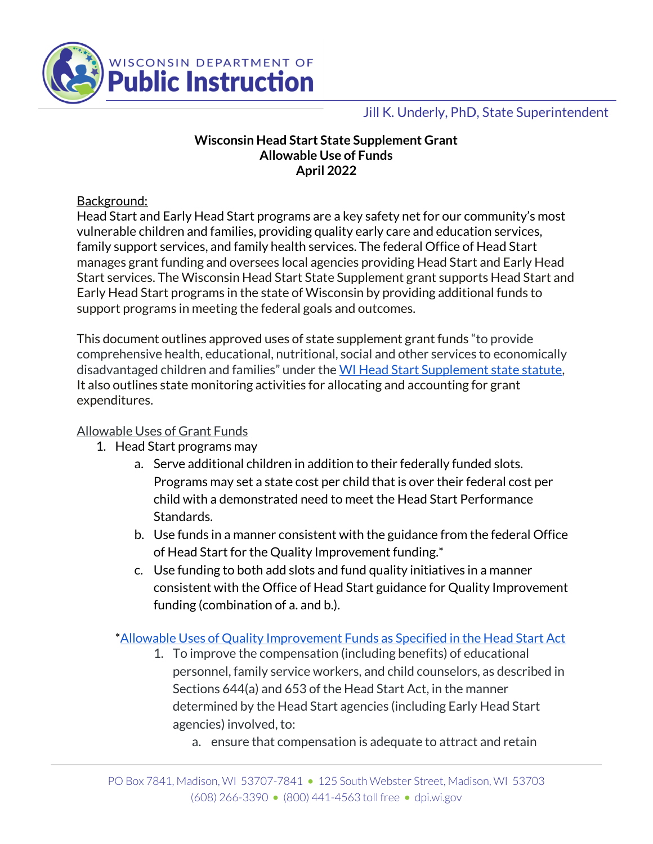

## Jill K. Underly, PhD, State Superintendent

#### **Wisconsin Head Start State Supplement Grant Allowable Use of Funds April 2022**

Background:

Head Start and Early Head Start programs are a key safety net for our community's most vulnerable children and families, providing quality early care and education services, family support services, and family health services. The federal Office of Head Start manages grant funding and oversees local agencies providing Head Start and Early Head Start services. The Wisconsin Head Start State Supplement grant supports Head Start and Early Head Start programs in the state of Wisconsin by providing additional funds to support programs in meeting the federal goals and outcomes.

This document outlines approved uses of state supplement grant funds "to provide comprehensive health, educational, nutritional, social and other services to economically disadvantaged children and families" under the [WI Head Start Supplement state statute,](https://docs.legis.wisconsin.gov/statutes/statutes/115/II/3615) It also outlines state monitoring activities for allocating and accounting for grant expenditures.

### Allowable Uses of Grant Funds

- 1. Head Start programs may
	- a. Serve additional children in addition to their federally funded slots. Programs may set a state cost per child that is over their federal cost per child with a demonstrated need to meet the Head Start Performance Standards.
	- b. Use funds in a manner consistent with the guidance from the federal Office of Head Start for the Quality Improvement funding.\*
	- c. Use funding to both add slots and fund quality initiatives in a manner consistent with the Office of Head Start guidance for Quality Improvement funding (combination of a. and b.).

### [\\*Allowable Uses of Quality Improvement Funds as Specified in the Head Start Act](https://eclkc.ohs.acf.hhs.gov/publication/attachment-allowable-uses-quality-improvement-funds-specified-head-start-act)

- 1. To improve the compensation (including benefits) of educational personnel, family service workers, and child counselors, as described in Sections 644(a) and 653 of the Head Start Act, in the manner determined by the Head Start agencies (including Early Head Start agencies) involved, to:
	- a. ensure that compensation is adequate to attract and retain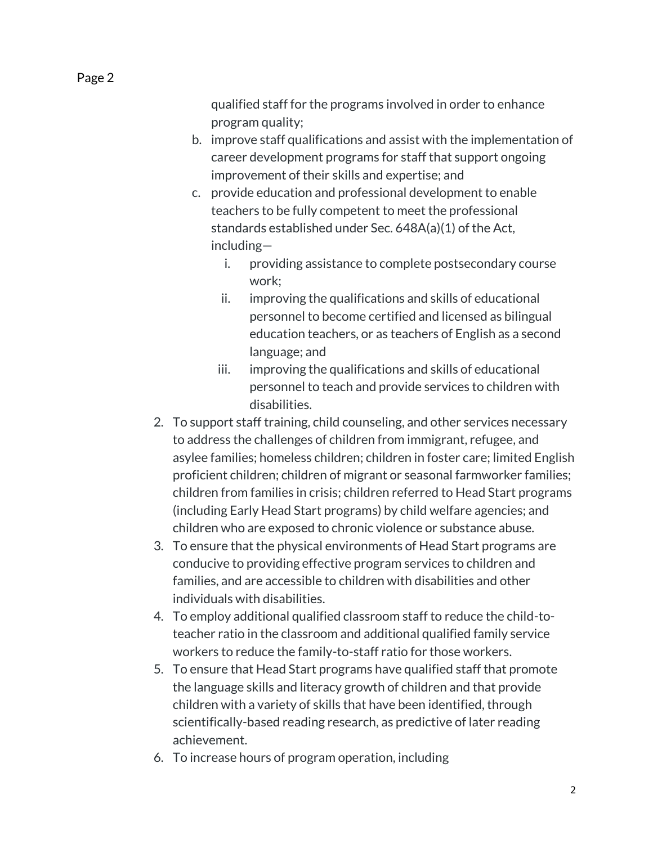Page 2

qualified staff for the programs involved in order to enhance program quality;

- b. improve staff qualifications and assist with the implementation of career development programs for staff that support ongoing improvement of their skills and expertise; and
- c. provide education and professional development to enable teachers to be fully competent to meet the professional standards established under Sec. 648A(a)(1) of the Act, including
	- i. providing assistance to complete postsecondary course work;
	- ii. improving the qualifications and skills of educational personnel to become certified and licensed as bilingual education teachers, or as teachers of English as a second language; and
	- iii. improving the qualifications and skills of educational personnel to teach and provide services to children with disabilities.
- 2. To support staff training, child counseling, and other services necessary to address the challenges of children from immigrant, refugee, and asylee families; homeless children; children in foster care; limited English proficient children; children of migrant or seasonal farmworker families; children from families in crisis; children referred to Head Start programs (including Early Head Start programs) by child welfare agencies; and children who are exposed to chronic violence or substance abuse.
- 3. To ensure that the physical environments of Head Start programs are conducive to providing effective program services to children and families, and are accessible to children with disabilities and other individuals with disabilities.
- 4. To employ additional qualified classroom staff to reduce the child-toteacher ratio in the classroom and additional qualified family service workers to reduce the family-to-staff ratio for those workers.
- 5. To ensure that Head Start programs have qualified staff that promote the language skills and literacy growth of children and that provide children with a variety of skills that have been identified, through scientifically-based reading research, as predictive of later reading achievement.
- 6. To increase hours of program operation, including